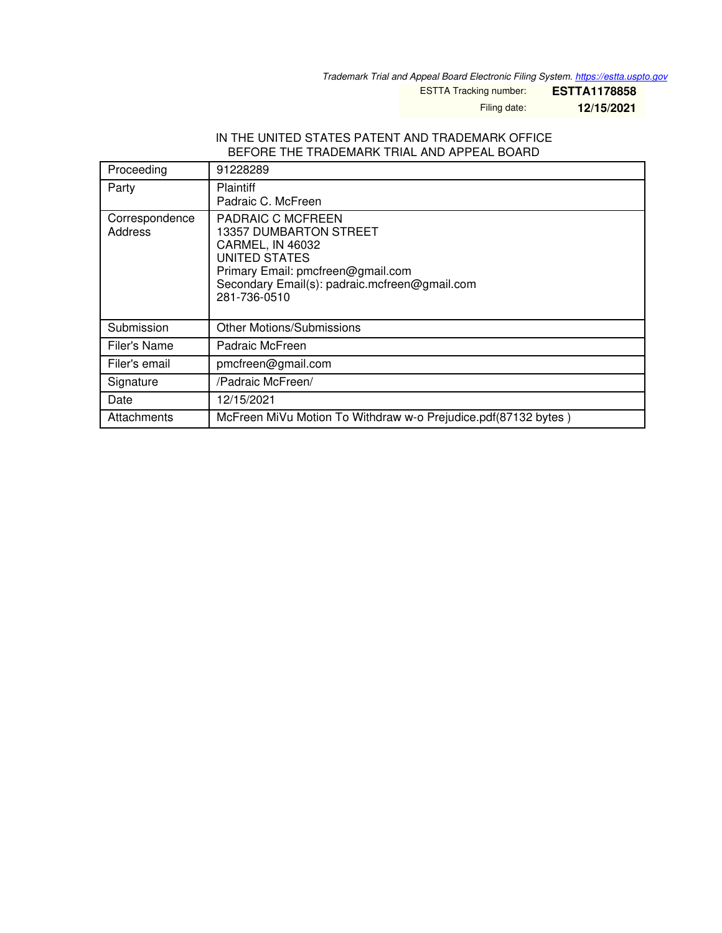*Trademark Trial and Appeal Board Electronic Filing System. <https://estta.uspto.gov>*

ESTTA Tracking number: **ESTTA1178858**

Filing date: **12/15/2021**

## IN THE UNITED STATES PATENT AND TRADEMARK OFFICE BEFORE THE TRADEMARK TRIAL AND APPEAL BOARD

| Proceeding                | 91228289                                                                                                                                                                                      |
|---------------------------|-----------------------------------------------------------------------------------------------------------------------------------------------------------------------------------------------|
| Party                     | <b>Plaintiff</b><br>Padraic C. McFreen                                                                                                                                                        |
| Correspondence<br>Address | PADRAIC C MCFREEN<br>13357 DUMBARTON STREET<br><b>CARMEL, IN 46032</b><br>UNITED STATES<br>Primary Email: pmcfreen@gmail.com<br>Secondary Email(s): padraic.mcfreen@gmail.com<br>281-736-0510 |
| Submission                | <b>Other Motions/Submissions</b>                                                                                                                                                              |
| Filer's Name              | Padraic McFreen                                                                                                                                                                               |
| Filer's email             | pmcfreen@gmail.com                                                                                                                                                                            |
| Signature                 | /Padraic McFreen/                                                                                                                                                                             |
| Date                      | 12/15/2021                                                                                                                                                                                    |
| Attachments               | McFreen MiVu Motion To Withdraw w-o Prejudice.pdf(87132 bytes)                                                                                                                                |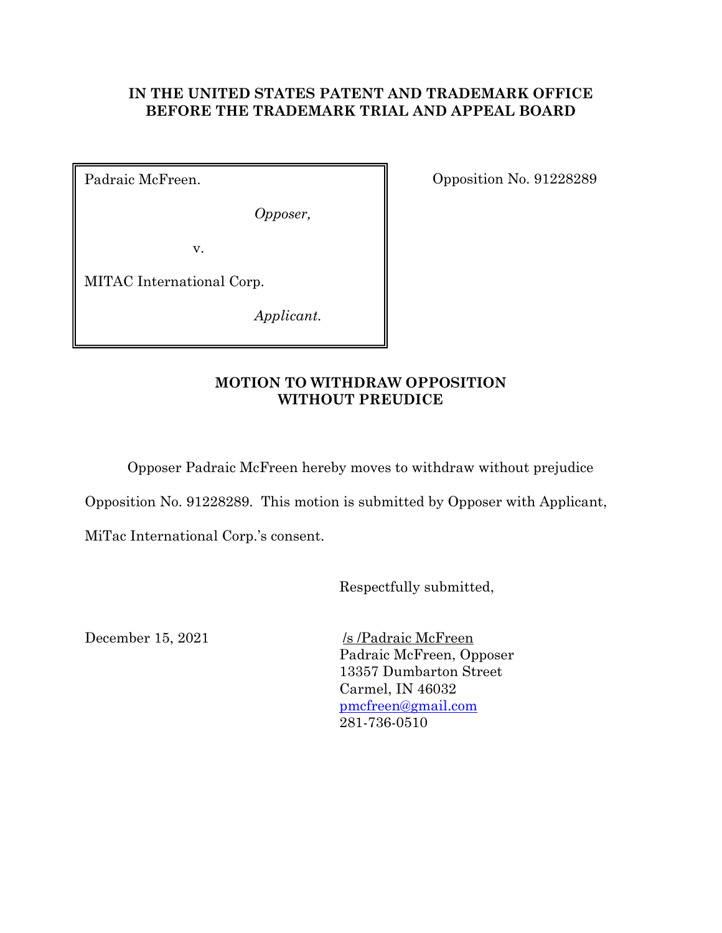## **IN THE UNITED STATES PATENT AND TRADEMARK OFFICE BEFORE THE TRADEMARK TRIAL AND APPEAL BOARD**

Padraic McFreen.

*Opposer,* 

v.

MITAC International Corp.

*Applicant.* 

Opposition No. 91228289

## **MOTION TO WITHDRAW OPPOSITION WITHOUT PREUDICE**

Opposer Padraic McFreen hereby moves to withdraw without prejudice

Opposition No. 91228289. This motion is submitted by Opposer with Applicant,

MiTac International Corp.'s consent.

Respectfully submitted,

December 15, 2021 /s /Padraic McFreen Padraic McFreen, Opposer 13357 Dumbarton Street Carmel, IN 46032 pmcfreen@gmail.com 281-736-0510